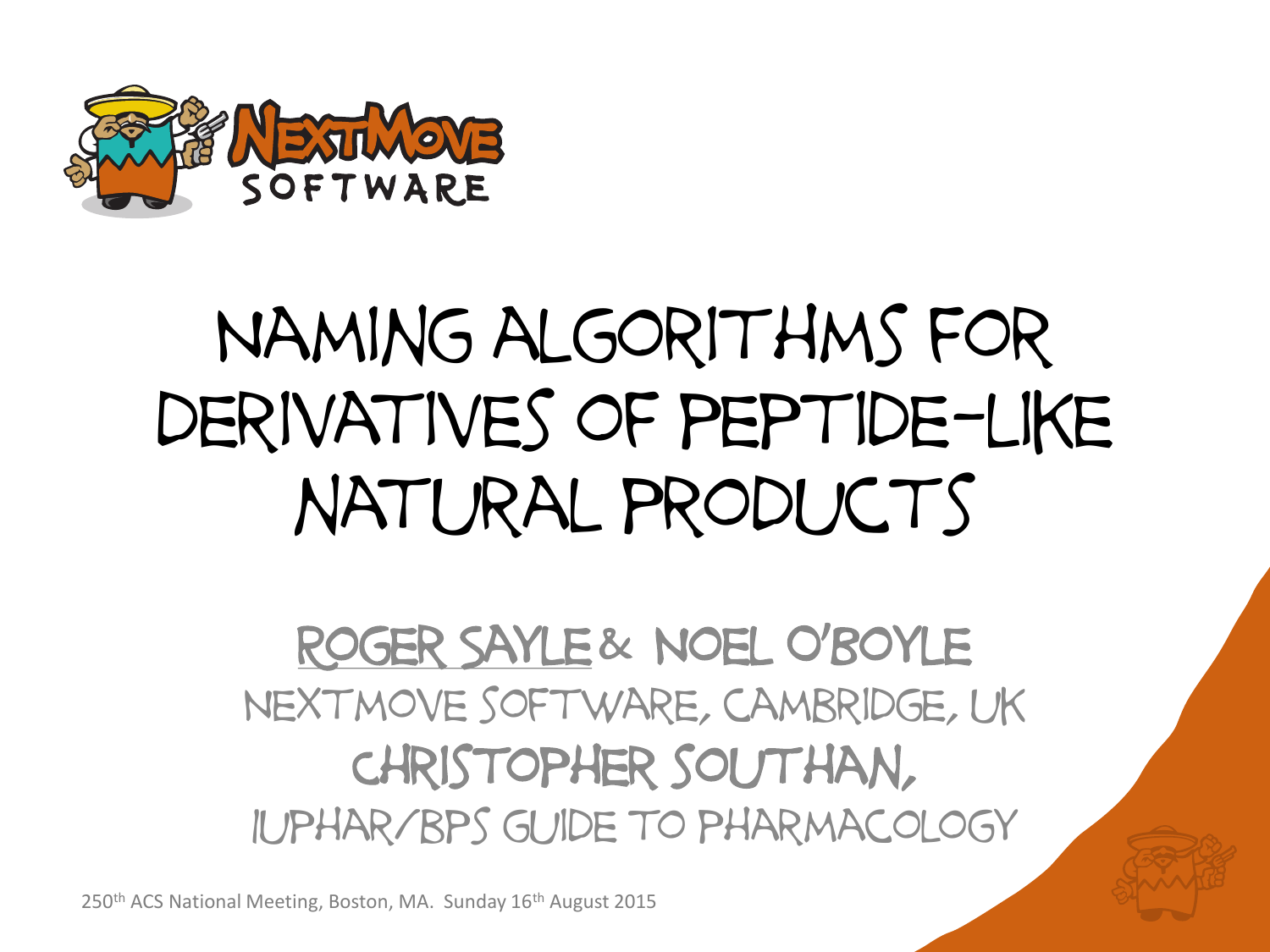

# Naming algorithms for derivatives of peptide-like natural products

#### Roger Sayle& Noel O'Boyle Nextmove software, cambridge, uk Christopher southan, Iuphar/bps guide to pharmacology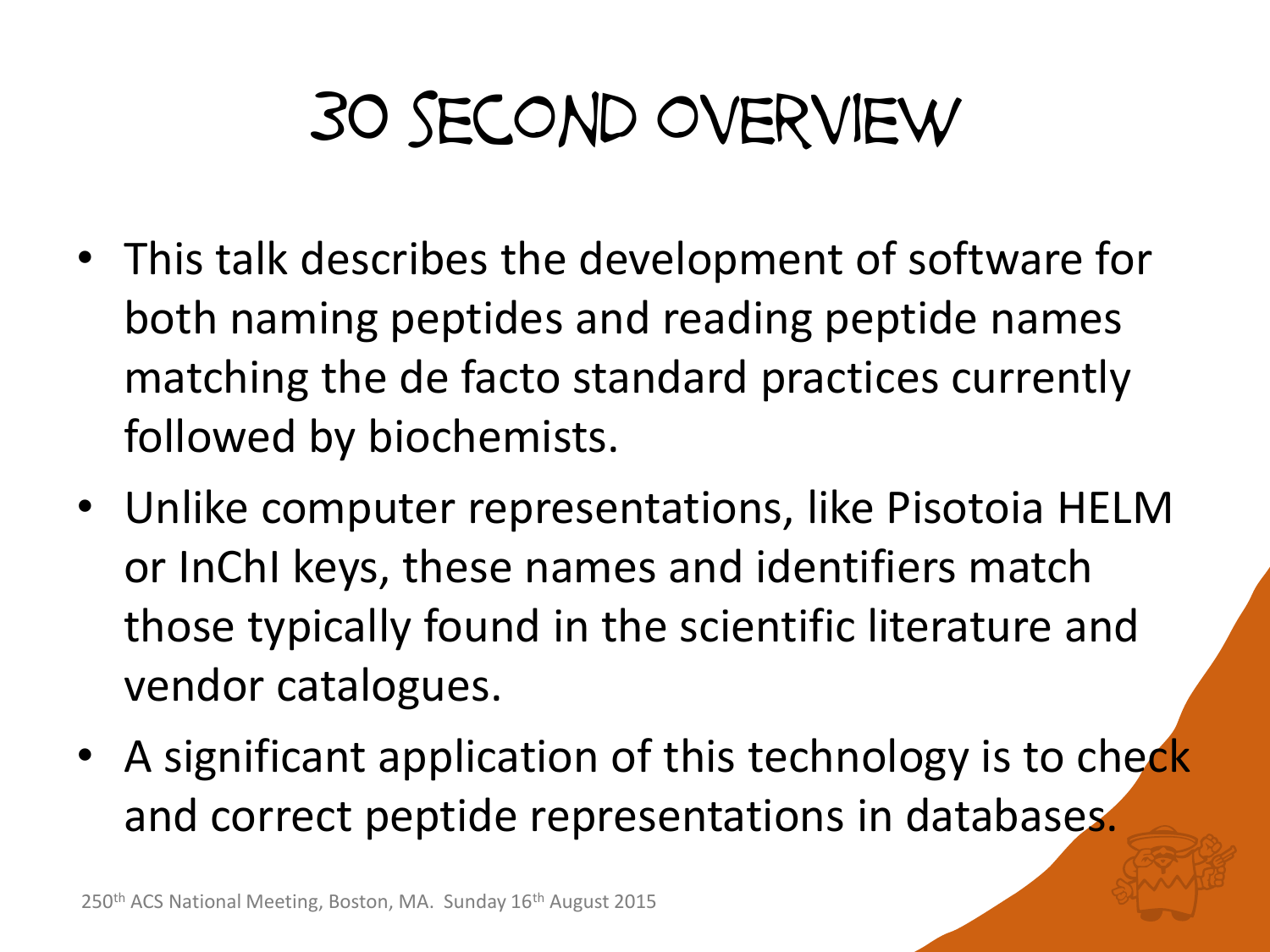## 30 second overview

- This talk describes the development of software for both naming peptides and reading peptide names matching the de facto standard practices currently followed by biochemists.
- Unlike computer representations, like Pisotoia HELM or InChI keys, these names and identifiers match those typically found in the scientific literature and vendor catalogues.
- A significant application of this technology is to check and correct peptide representations in databases.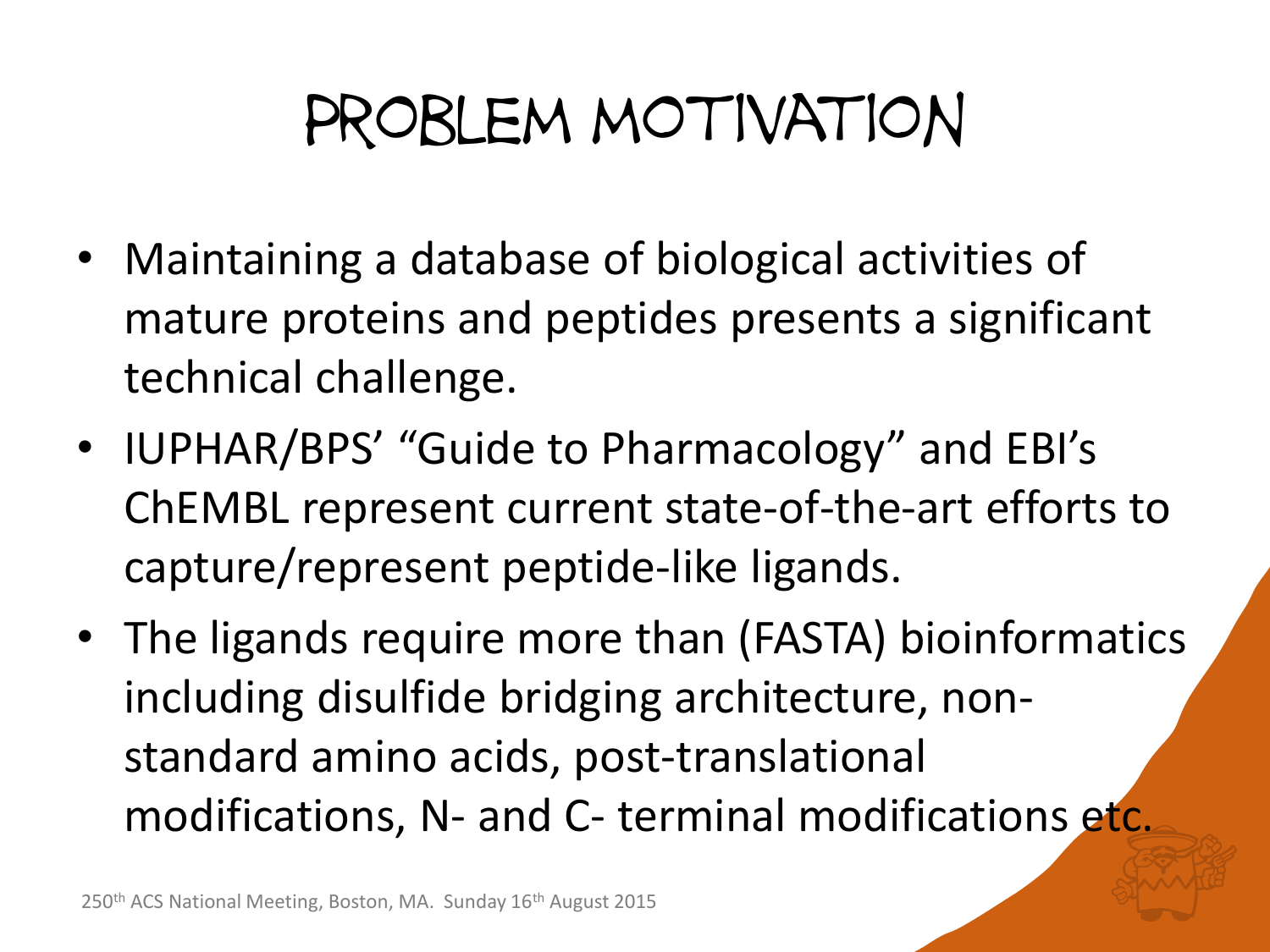#### Problem motivation

- Maintaining a database of biological activities of mature proteins and peptides presents a significant technical challenge.
- IUPHAR/BPS' "Guide to Pharmacology" and EBI's ChEMBL represent current state-of-the-art efforts to capture/represent peptide-like ligands.
- The ligands require more than (FASTA) bioinformatics including disulfide bridging architecture, nonstandard amino acids, post-translational modifications, N- and C- terminal modifications etc.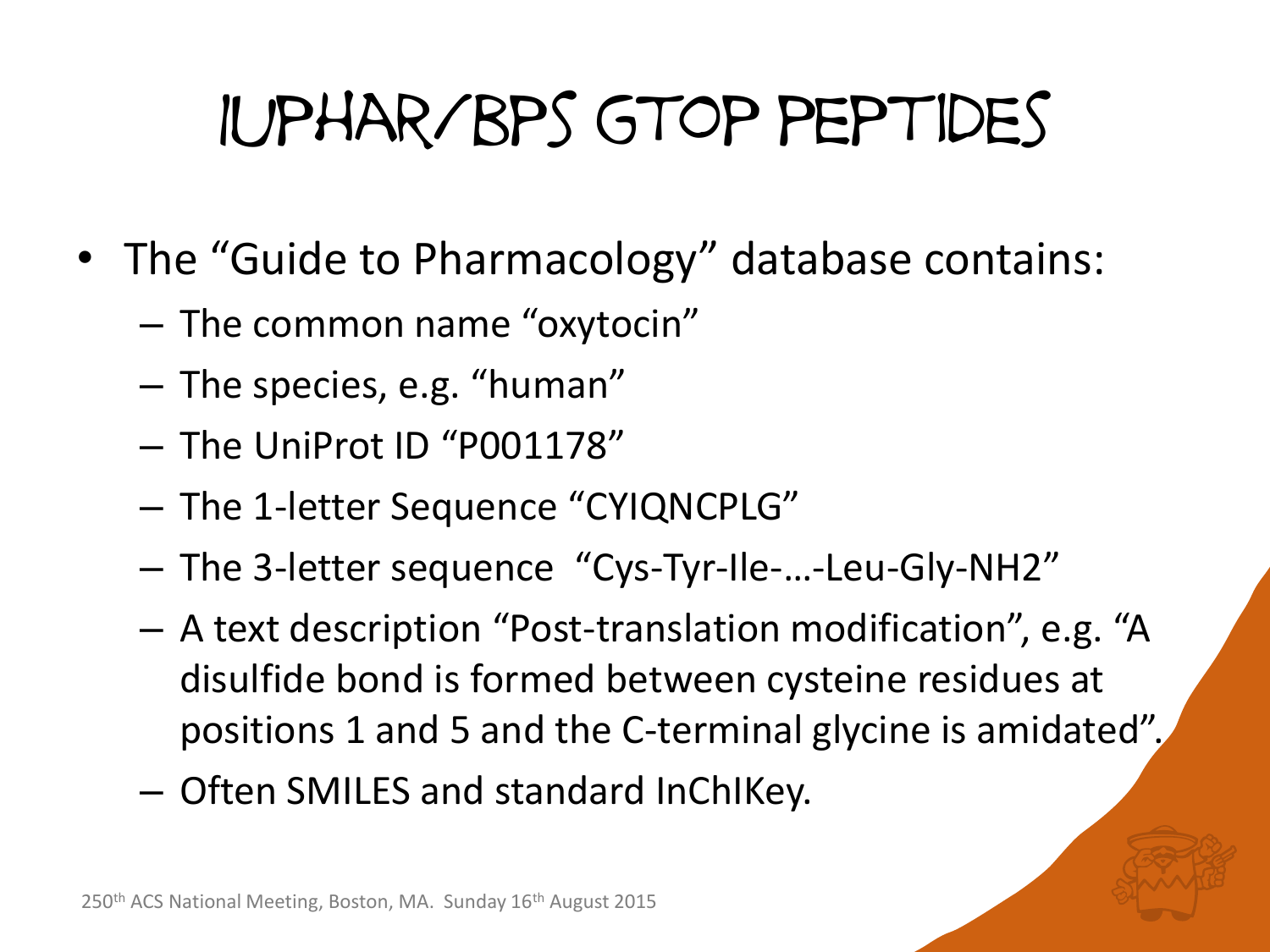# Iuphar/bps gtop peptides

- The "Guide to Pharmacology" database contains:
	- The common name "oxytocin"
	- The species, e.g. "human"
	- The UniProt ID "P001178"
	- The 1-letter Sequence "CYIQNCPLG"
	- The 3-letter sequence "Cys-Tyr-Ile-…-Leu-Gly-NH2"
	- A text description "Post-translation modification", e.g. "A disulfide bond is formed between cysteine residues at positions 1 and 5 and the C-terminal glycine is amidated".
	- Often SMILES and standard InChIKey.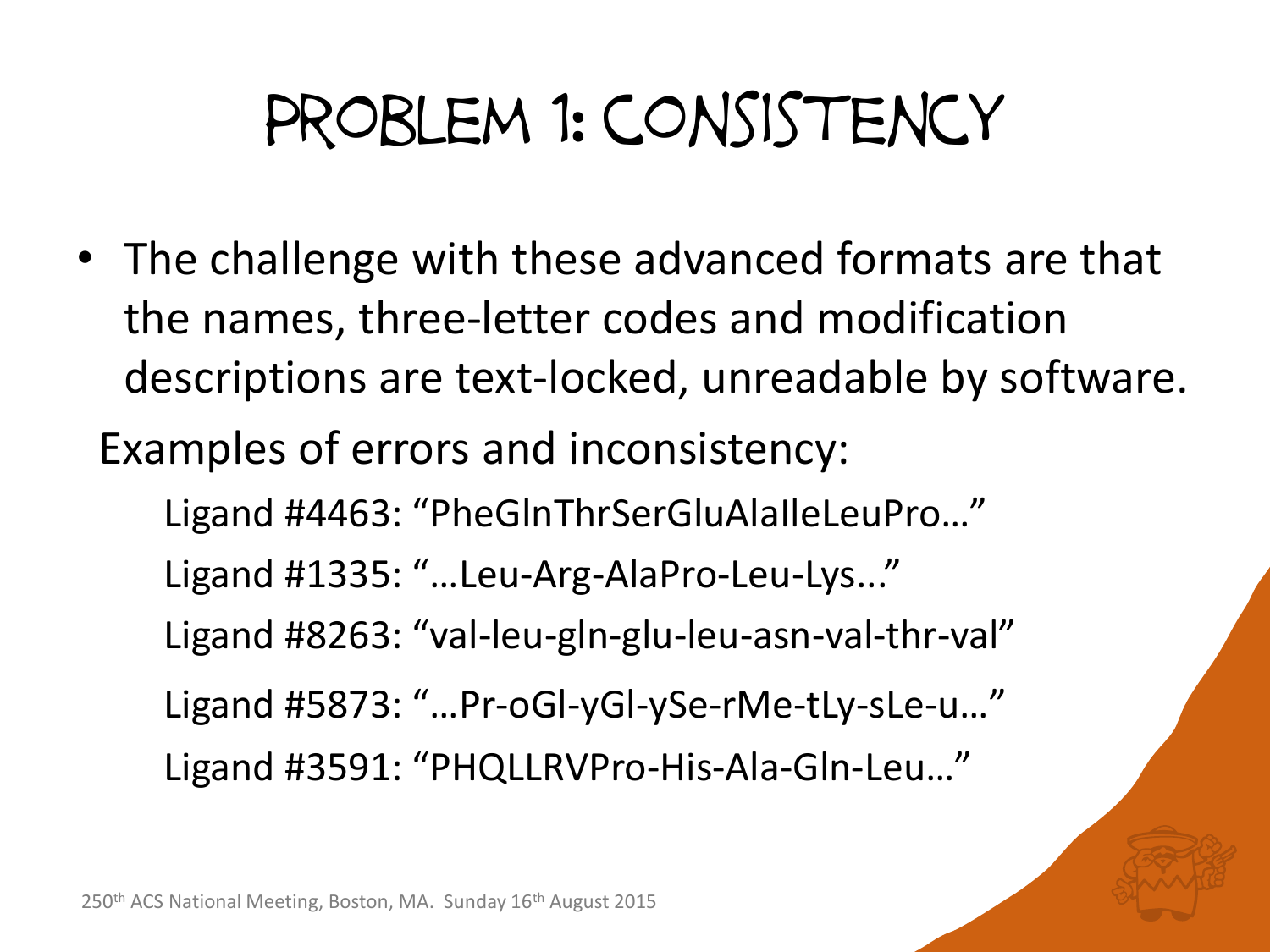### Problem 1: consistency

• The challenge with these advanced formats are that the names, three-letter codes and modification descriptions are text-locked, unreadable by software.

Examples of errors and inconsistency:

Ligand #4463: "PheGlnThrSerGluAlaIleLeuPro…" Ligand #1335: "…Leu-Arg-AlaPro-Leu-Lys..." Ligand #8263: "val-leu-gln-glu-leu-asn-val-thr-val" Ligand #5873: "…Pr-oGl-yGl-ySe-rMe-tLy-sLe-u…" Ligand #3591: "PHQLLRVPro-His-Ala-Gln-Leu…"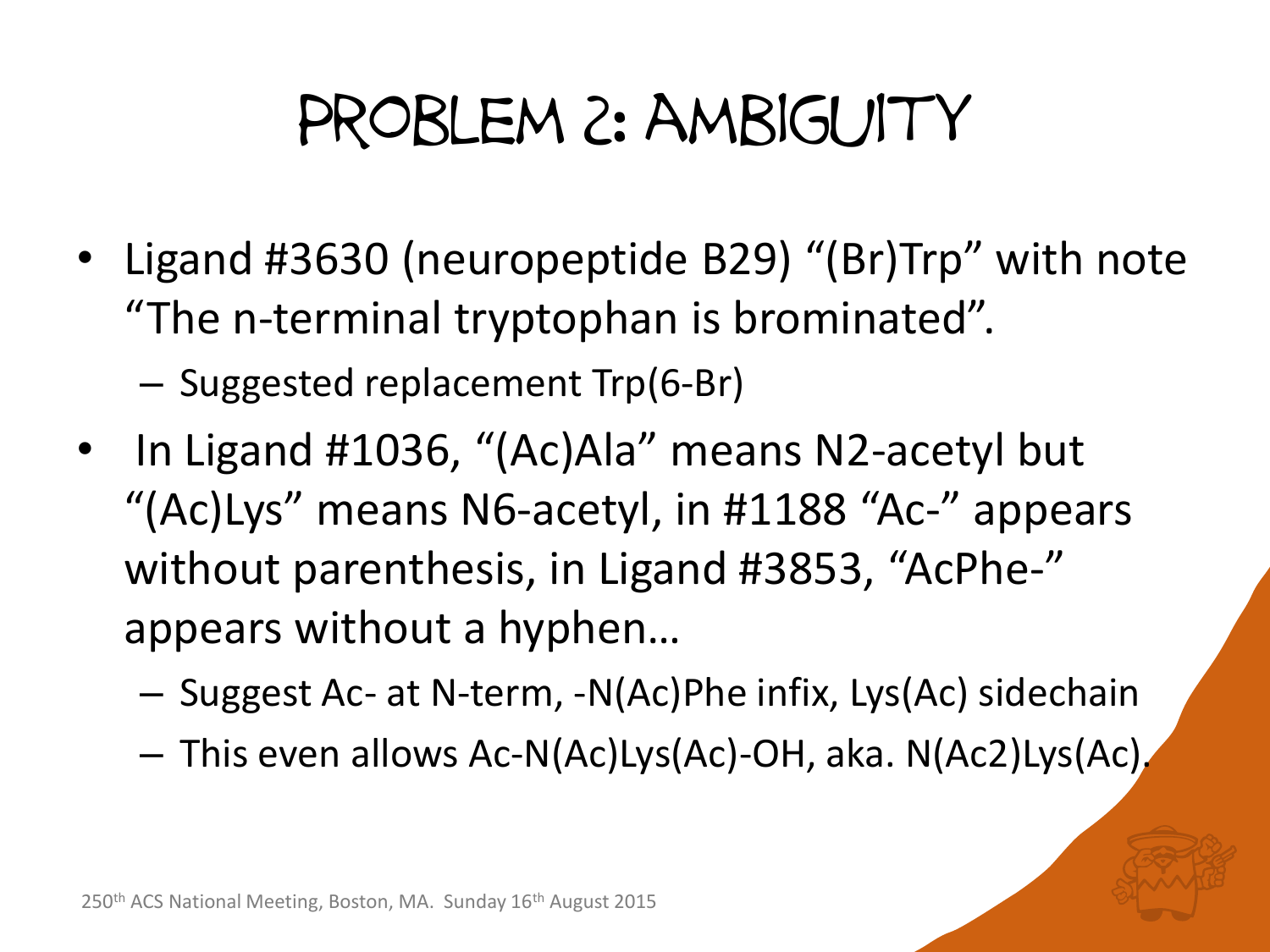#### Problem 2: ambiguity

• Ligand #3630 (neuropeptide B29) "(Br)Trp" with note "The n-terminal tryptophan is brominated".

– Suggested replacement Trp(6-Br)

- In Ligand #1036, "(Ac)Ala" means N2-acetyl but "(Ac)Lys" means N6-acetyl, in #1188 "Ac-" appears without parenthesis, in Ligand #3853, "AcPhe-" appears without a hyphen…
	- Suggest Ac- at N-term, -N(Ac)Phe infix, Lys(Ac) sidechain
	- This even allows Ac-N(Ac)Lys(Ac)-OH, aka. N(Ac2)Lys(Ac).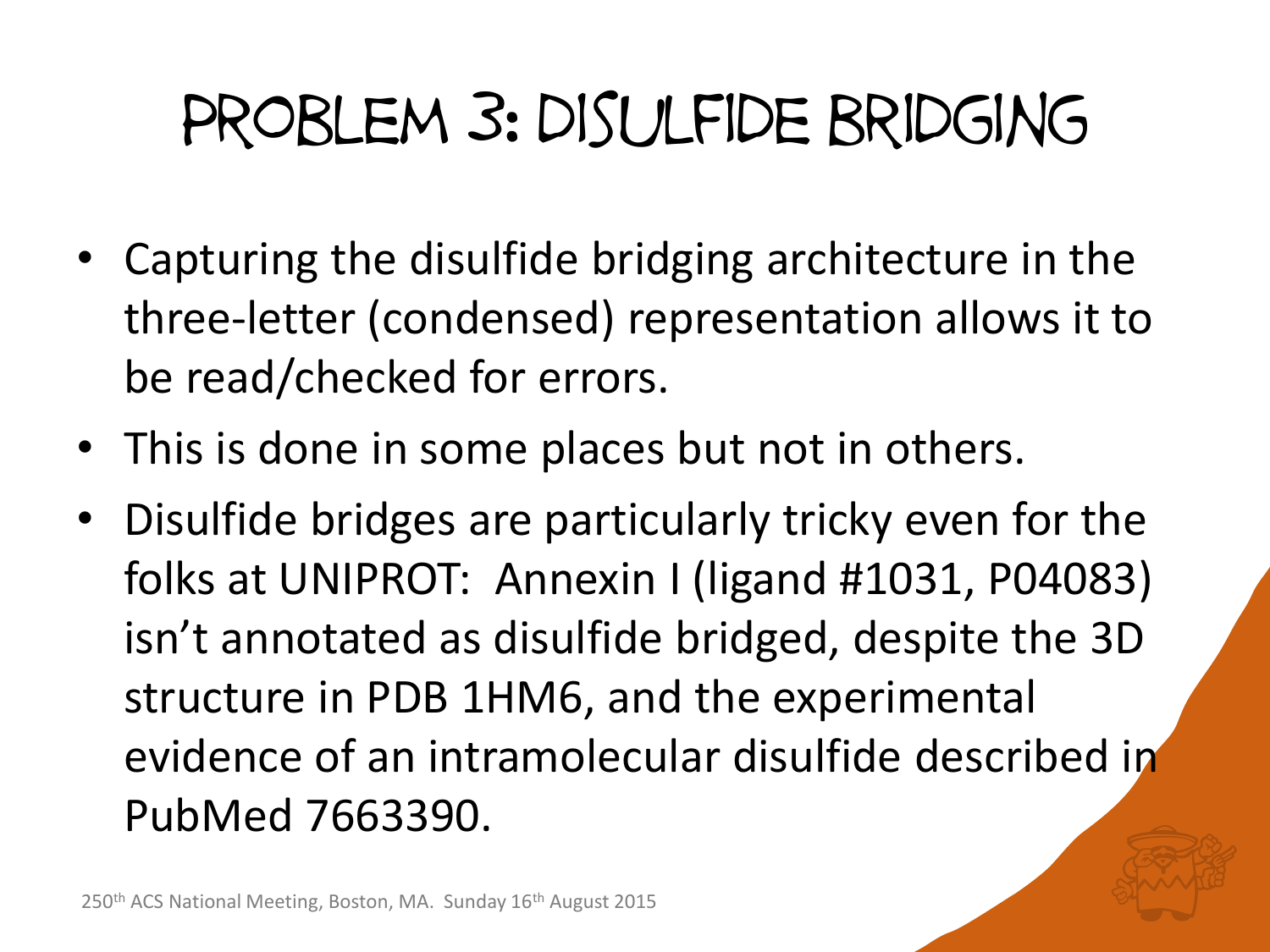## Problem 3: disulfide bridging

- Capturing the disulfide bridging architecture in the three-letter (condensed) representation allows it to be read/checked for errors.
- This is done in some places but not in others.
- Disulfide bridges are particularly tricky even for the folks at UNIPROT: Annexin I (ligand #1031, P04083) isn't annotated as disulfide bridged, despite the 3D structure in PDB 1HM6, and the experimental evidence of an intramolecular disulfide described in PubMed 7663390.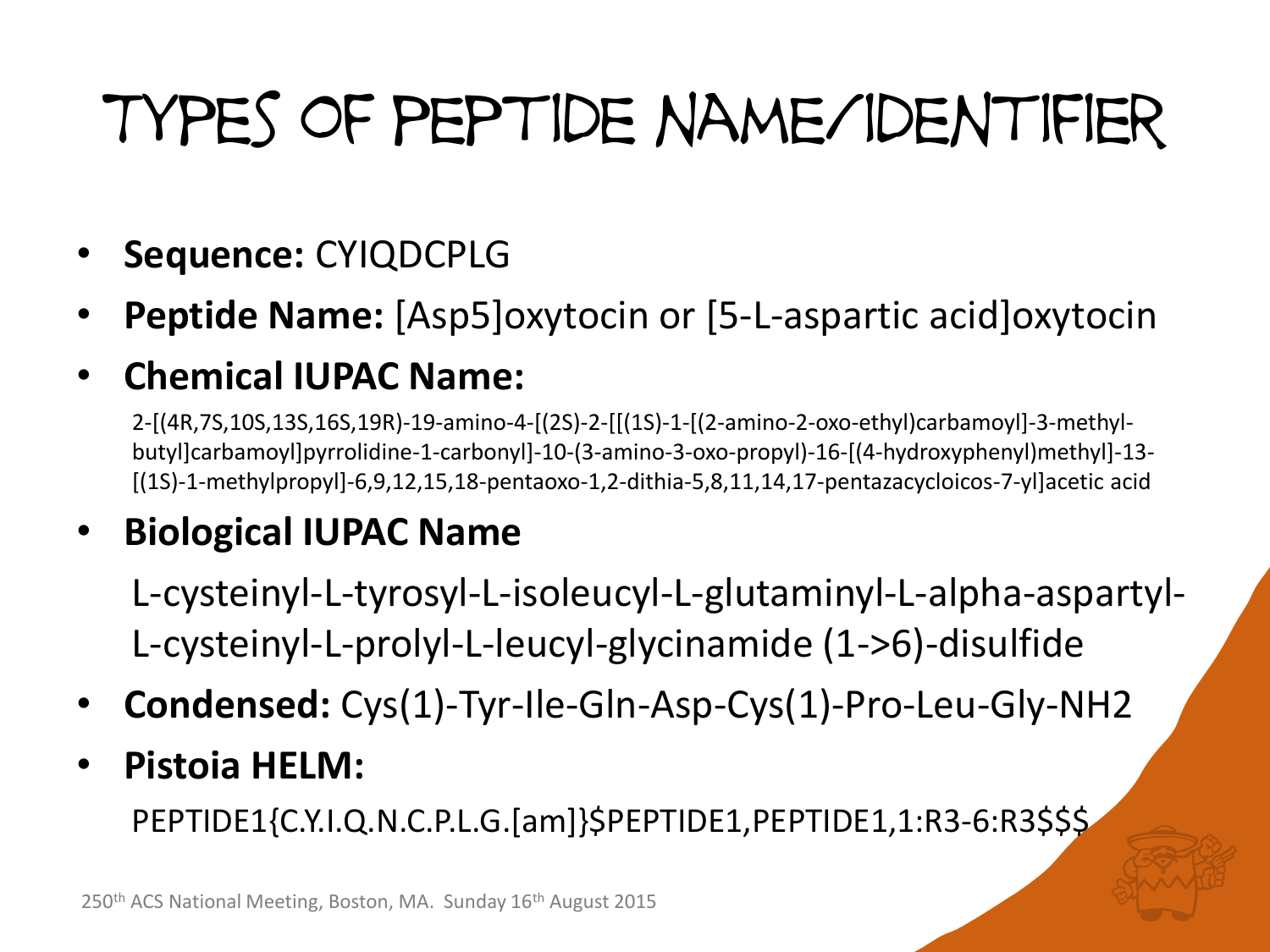# Types of peptide name/identifier

- **Sequence:** CYIQDCPLG
- **Peptide Name:** [Asp5]oxytocin or [5-L-aspartic acid]oxytocin

#### • **Chemical IUPAC Name:**

2-[(4R,7S,10S,13S,16S,19R)-19-amino-4-[(2S)-2-[[(1S)-1-[(2-amino-2-oxo-ethyl)carbamoyl]-3-methylbutyl]carbamoyl]pyrrolidine-1-carbonyl]-10-(3-amino-3-oxo-propyl)-16-[(4-hydroxyphenyl)methyl]-13- [(1S)-1-methylpropyl]-6,9,12,15,18-pentaoxo-1,2-dithia-5,8,11,14,17-pentazacycloicos-7-yl]acetic acid

#### • **Biological IUPAC Name**

L-cysteinyl-L-tyrosyl-L-isoleucyl-L-glutaminyl-L-alpha-aspartyl-L-cysteinyl-L-prolyl-L-leucyl-glycinamide (1->6)-disulfide

- **Condensed:** Cys(1)-Tyr-Ile-Gln-Asp-Cys(1)-Pro-Leu-Gly-NH2
- **Pistoia HELM:**

PEPTIDE1{C.Y.I.Q.N.C.P.L.G.[am]}\$PEPTIDE1,PEPTIDE1,1:R3-6:R3\$\$\$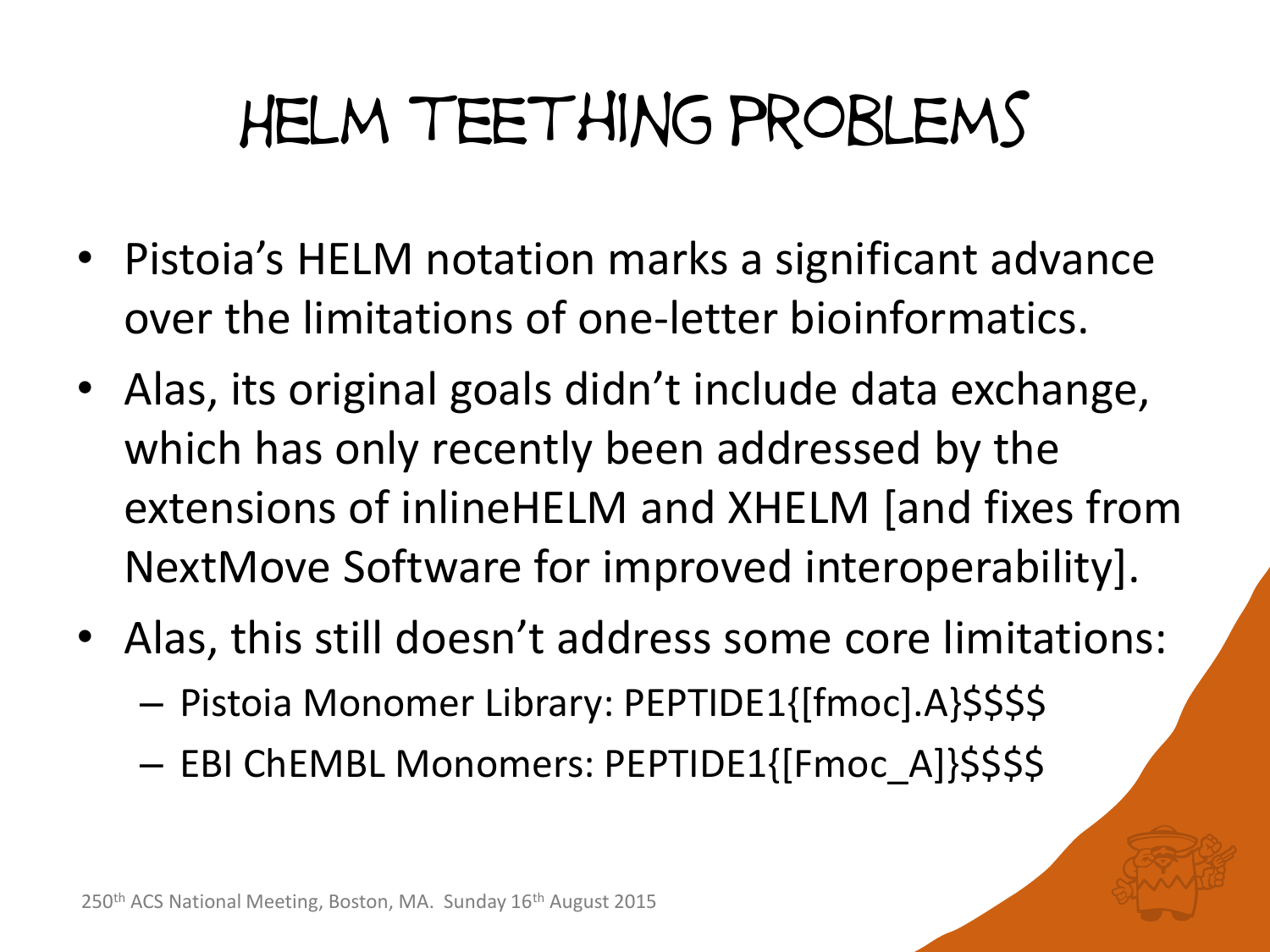#### Helm teething problems

- Pistoia's HELM notation marks a significant advance over the limitations of one-letter bioinformatics.
- Alas, its original goals didn't include data exchange, which has only recently been addressed by the extensions of inlineHELM and XHELM [and fixes from NextMove Software for improved interoperability].
- Alas, this still doesn't address some core limitations:
	- Pistoia Monomer Library: PEPTIDE1{[fmoc].A}\$\$\$\$
	- EBI ChEMBL Monomers: PEPTIDE1{[Fmoc\_A]}\$\$\$\$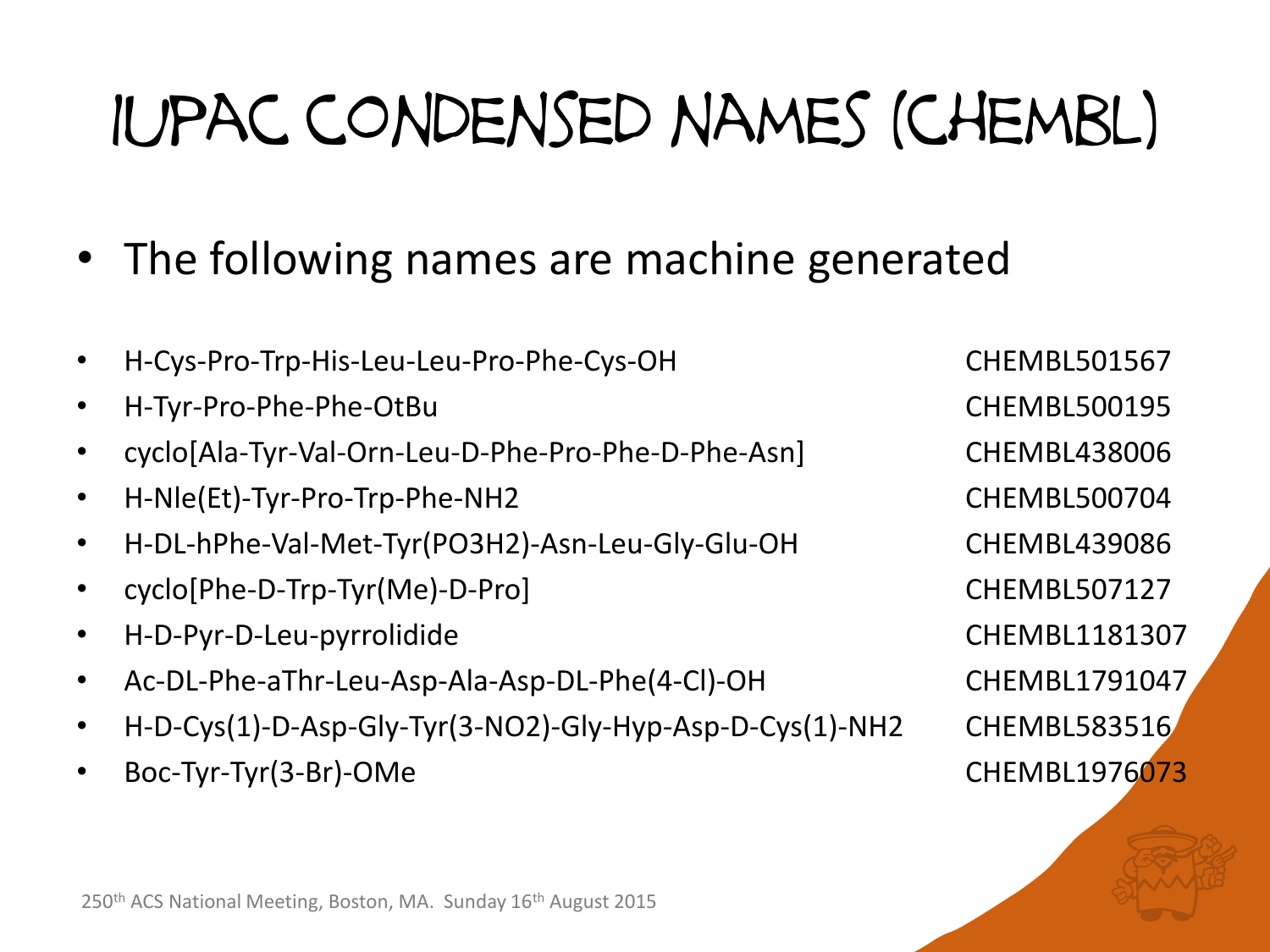# Iupac condensed names (chembl)

- The following names are machine generated
- H-Cys-Pro-Trp-His-Leu-Leu-Pro-Phe-Cys-OH CHEMBL501567
- H-Tyr-Pro-Phe-Phe-OtBu CHEMBL500195
- cyclo[Ala-Tyr-Val-Orn-Leu-D-Phe-Pro-Phe-D-Phe-Asn] CHEMBL438006
- H-Nle(Et)-Tyr-Pro-Trp-Phe-NH2 CHEMBL500704
- H-DL-hPhe-Val-Met-Tyr(PO3H2)-Asn-Leu-Gly-Glu-OH CHEMBL439086
- cyclo[Phe-D-Trp-Tyr(Me)-D-Pro] CHEMBL507127
- H-D-Pyr-D-Leu-pyrrolidide CHEMBL1181307
- Ac-DL-Phe-aThr-Leu-Asp-Ala-Asp-DL-Phe(4-Cl)-OH CHEMBL1791047
- H-D-Cys(1)-D-Asp-Gly-Tyr(3-NO2)-Gly-Hyp-Asp-D-Cys(1)-NH2 CHEMBL583516
- Boc-Tyr-Tyr(3-Br)-OMe CHEMBL1976073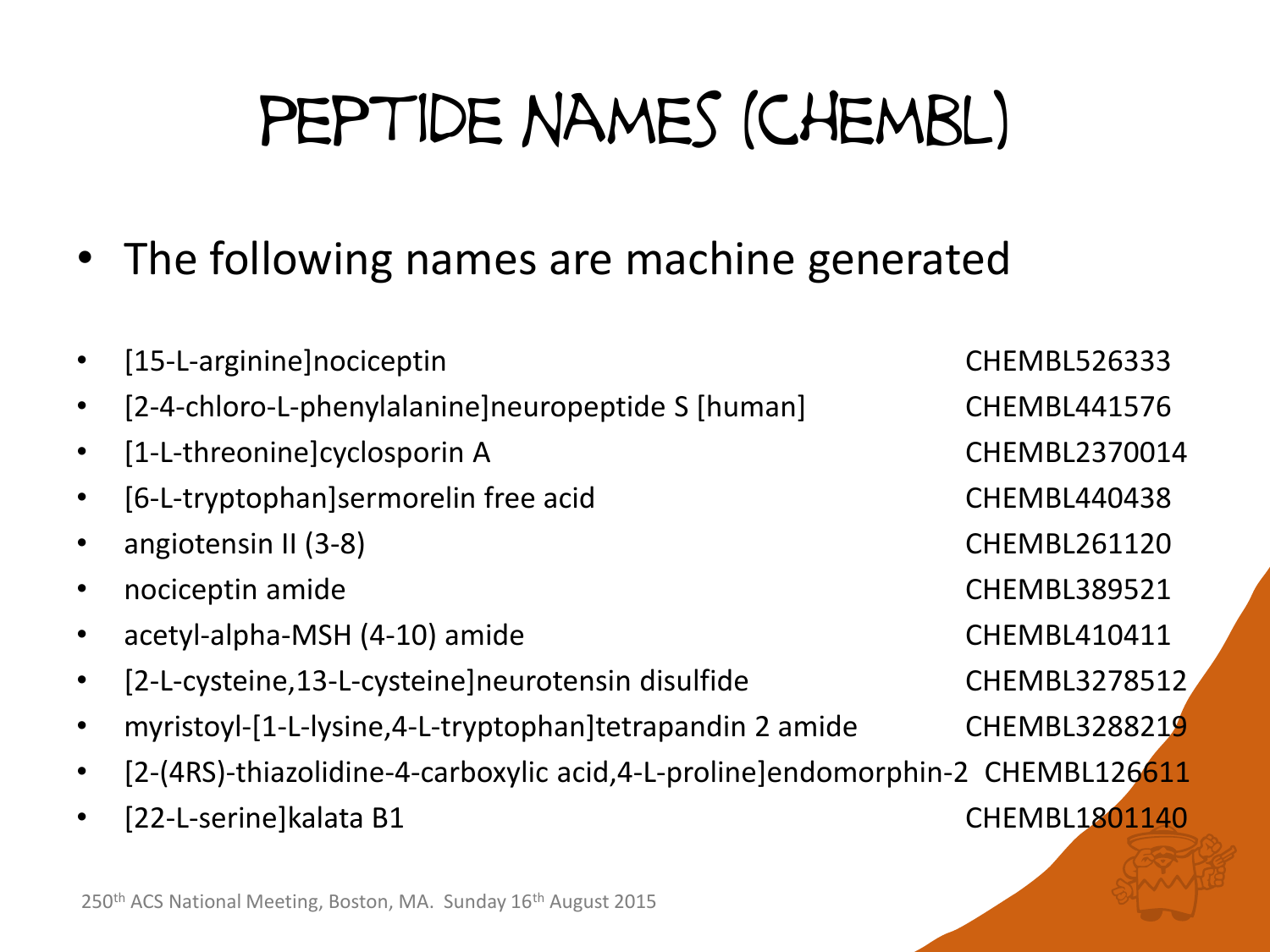# peptide names (chembl)

- The following names are machine generated
- [15-L-arginine]nociceptin **CHEMBL526333**
- [2-4-chloro-L-phenylalanine]neuropeptide S [human] CHEMBL441576
- [1-L-threonine]cyclosporin A CHEMBL2370014
- [6-L-tryptophan]sermorelin free acid CHEMBL440438
- angiotensin II (3-8) **CHEMBL261120**
- nociceptin amide CHEMBL389521
- acetyl-alpha-MSH (4-10) amide CHEMBL410411
- [2-L-cysteine,13-L-cysteine]neurotensin disulfide CHEMBL3278512
- myristoyl-[1-L-lysine,4-L-tryptophan]tetrapandin 2 amide CHEMBL3288219
- [2-(4RS)-thiazolidine-4-carboxylic acid,4-L-proline]endomorphin-2 CHEMBL126611
- [22-L-serine]kalata B1 CHEMBL1801140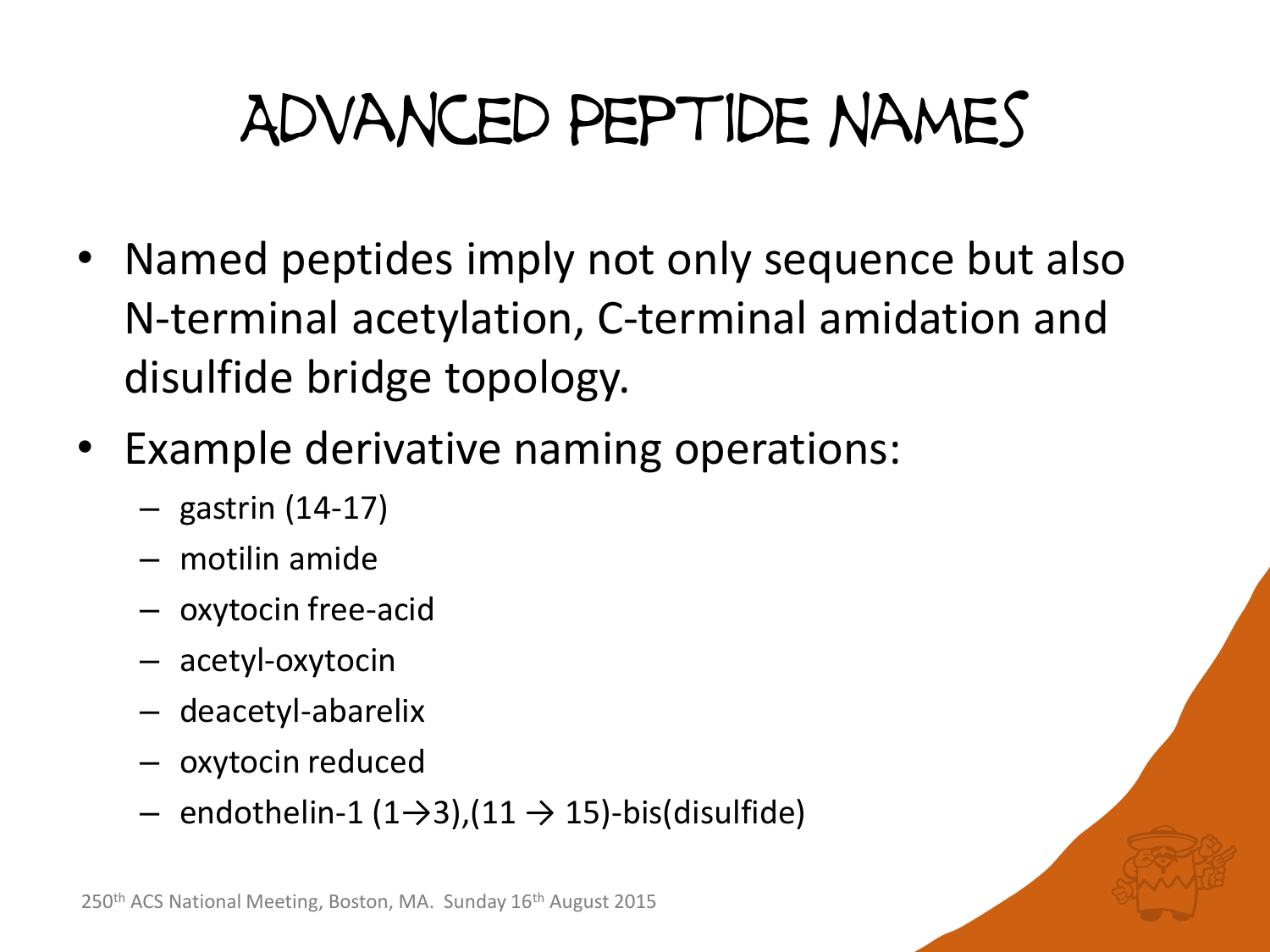## Advanced Peptide names

- Named peptides imply not only sequence but also N-terminal acetylation, C-terminal amidation and disulfide bridge topology.
- Example derivative naming operations:
	- gastrin (14-17)
	- motilin amide
	- oxytocin free-acid
	- acetyl-oxytocin
	- deacetyl-abarelix
	- oxytocin reduced
	- endothelin-1 (1→3),(11 → 15)-bis(disulfide)

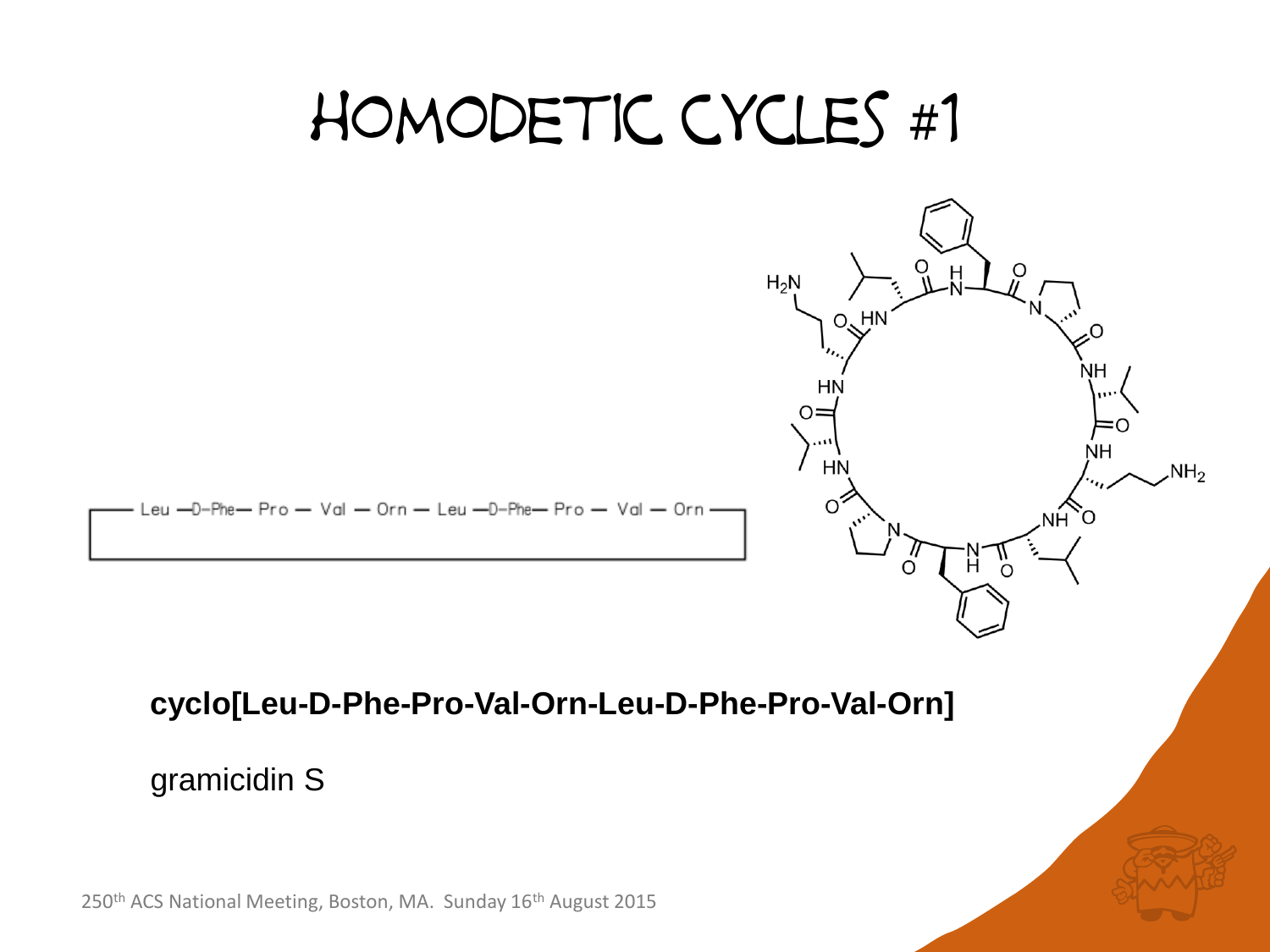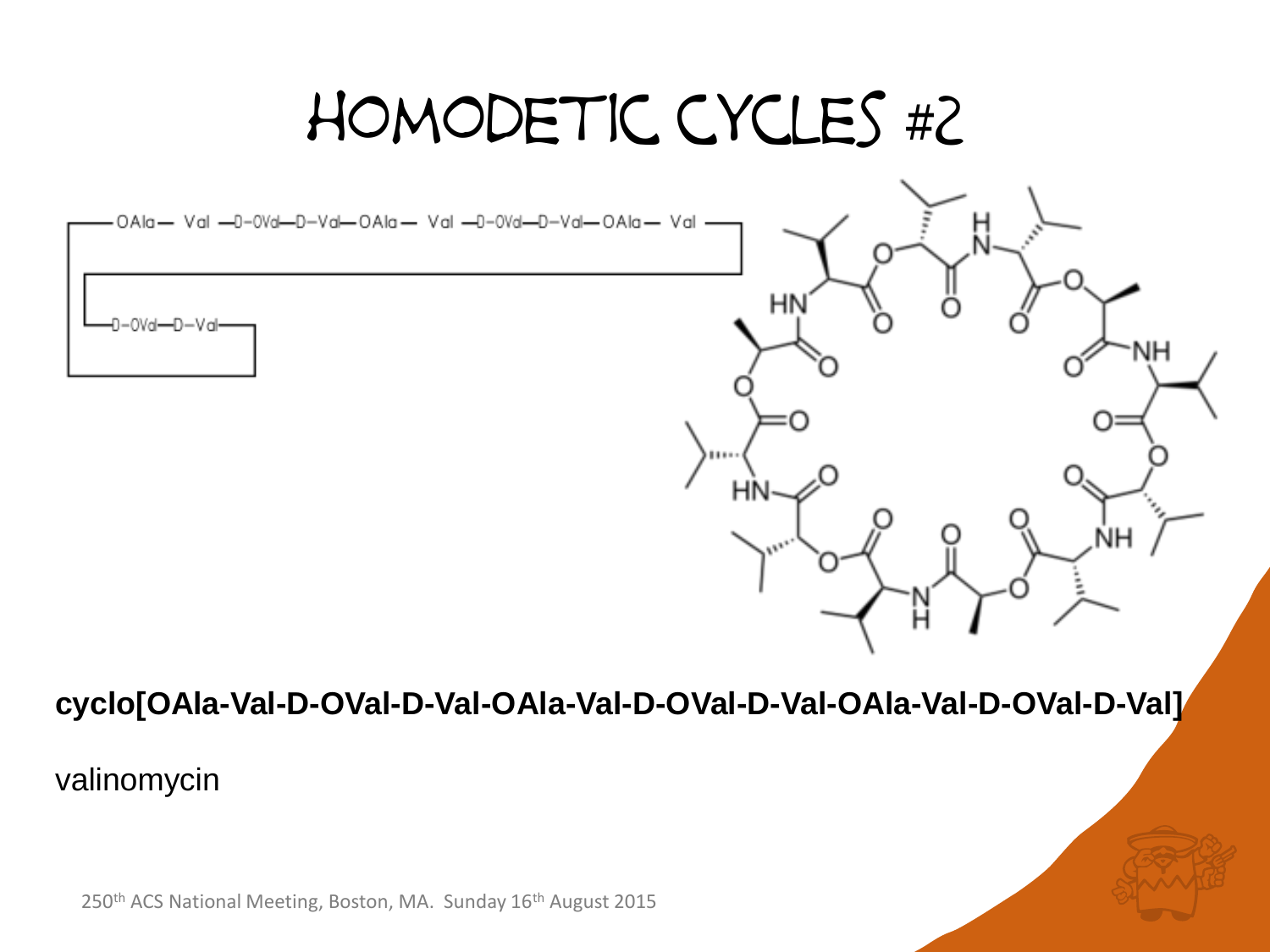#### homodetic cycles #2

НŅ

٩H

ŃH

OAla- Val -0-0Val-D-Val-OAla- Val -0-0Val-D-Val-OAla- Val



#### **cyclo[OAla-Val-D-OVal-D-Val-OAla-Val-D-OVal-D-Val-OAla-Val-D-OVal-D-Val]**

#### valinomycin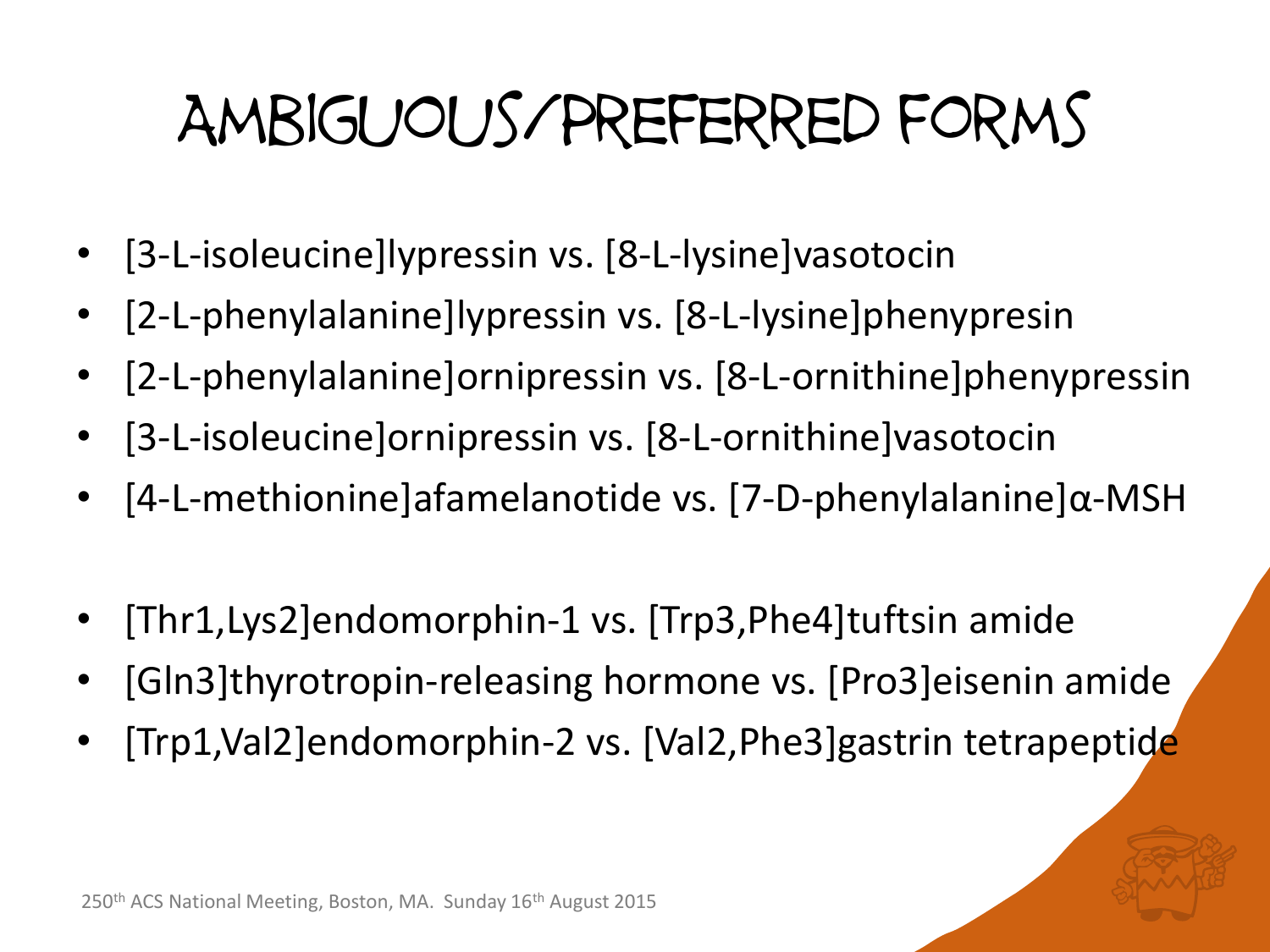## Ambiguous/Preferred forms

- [3-L-isoleucine]lypressin vs. [8-L-lysine]vasotocin
- [2-L-phenylalanine]lypressin vs. [8-L-lysine]phenypresin
- [2-L-phenylalanine]ornipressin vs. [8-L-ornithine]phenypressin
- [3-L-isoleucine]ornipressin vs. [8-L-ornithine]vasotocin
- [4-L-methionine]afamelanotide vs. [7-D-phenylalanine]α-MSH
- [Thr1,Lys2]endomorphin-1 vs. [Trp3,Phe4]tuftsin amide
- [Gln3]thyrotropin-releasing hormone vs. [Pro3]eisenin amide
- [Trp1,Val2]endomorphin-2 vs. [Val2,Phe3]gastrin tetrapeptide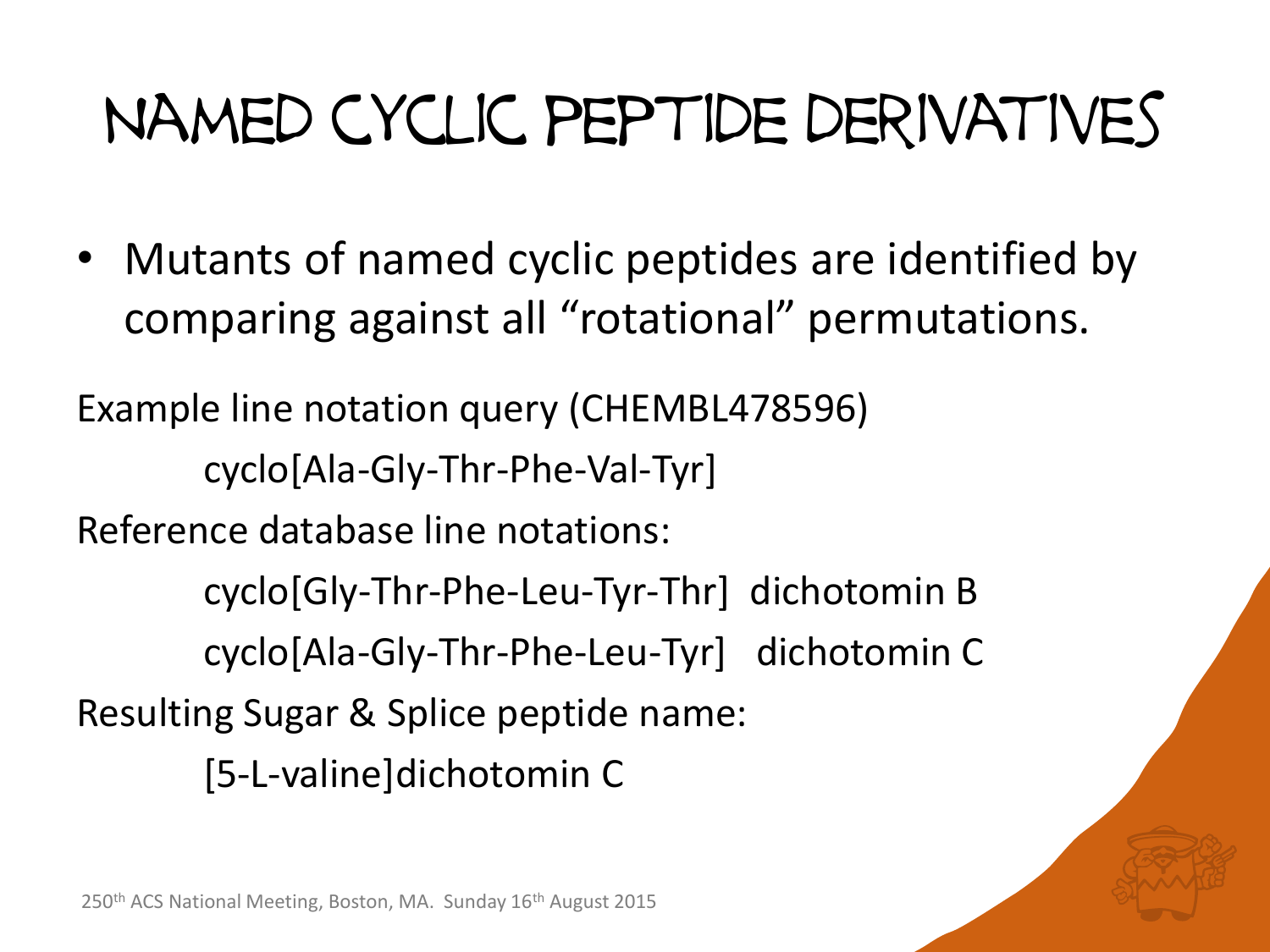# Named cyclic peptide derivatives

• Mutants of named cyclic peptides are identified by comparing against all "rotational" permutations.

Example line notation query (CHEMBL478596) cyclo[Ala-Gly-Thr-Phe-Val-Tyr] Reference database line notations: cyclo[Gly-Thr-Phe-Leu-Tyr-Thr] dichotomin B cyclo[Ala-Gly-Thr-Phe-Leu-Tyr] dichotomin C Resulting Sugar & Splice peptide name: [5-L-valine]dichotomin C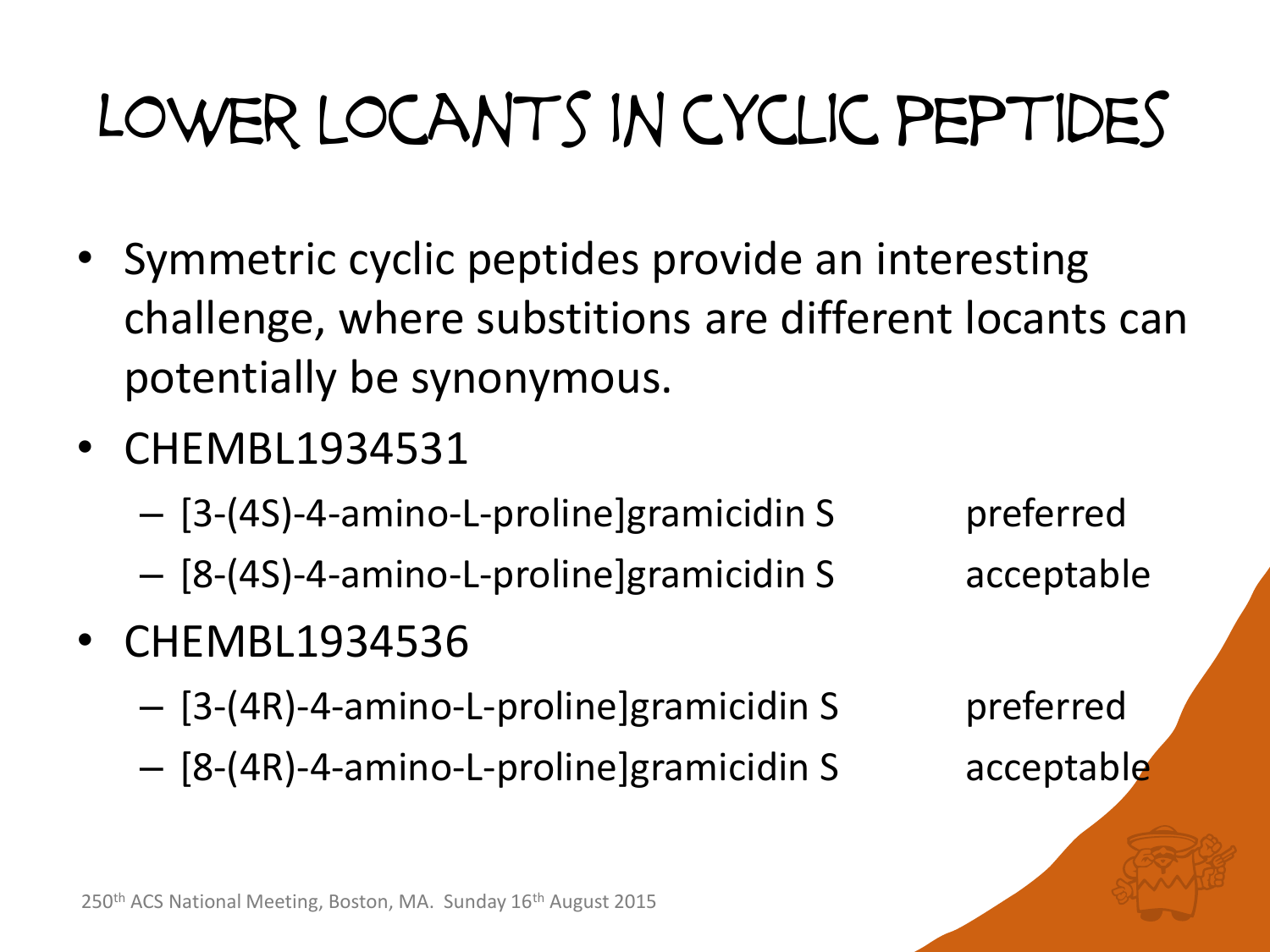# Lower locants in cyclic peptides

- Symmetric cyclic peptides provide an interesting challenge, where substitions are different locants can potentially be synonymous.
- CHEMBL1934531
	- [3-(4S)-4-amino-L-proline]gramicidin S preferred
	- [8-(4S)-4-amino-L-proline]gramicidin S acceptable
- CHEMBL1934536
	- [3-(4R)-4-amino-L-proline]gramicidin S preferred
	- [8-(4R)-4-amino-L-proline]gramicidin S acceptable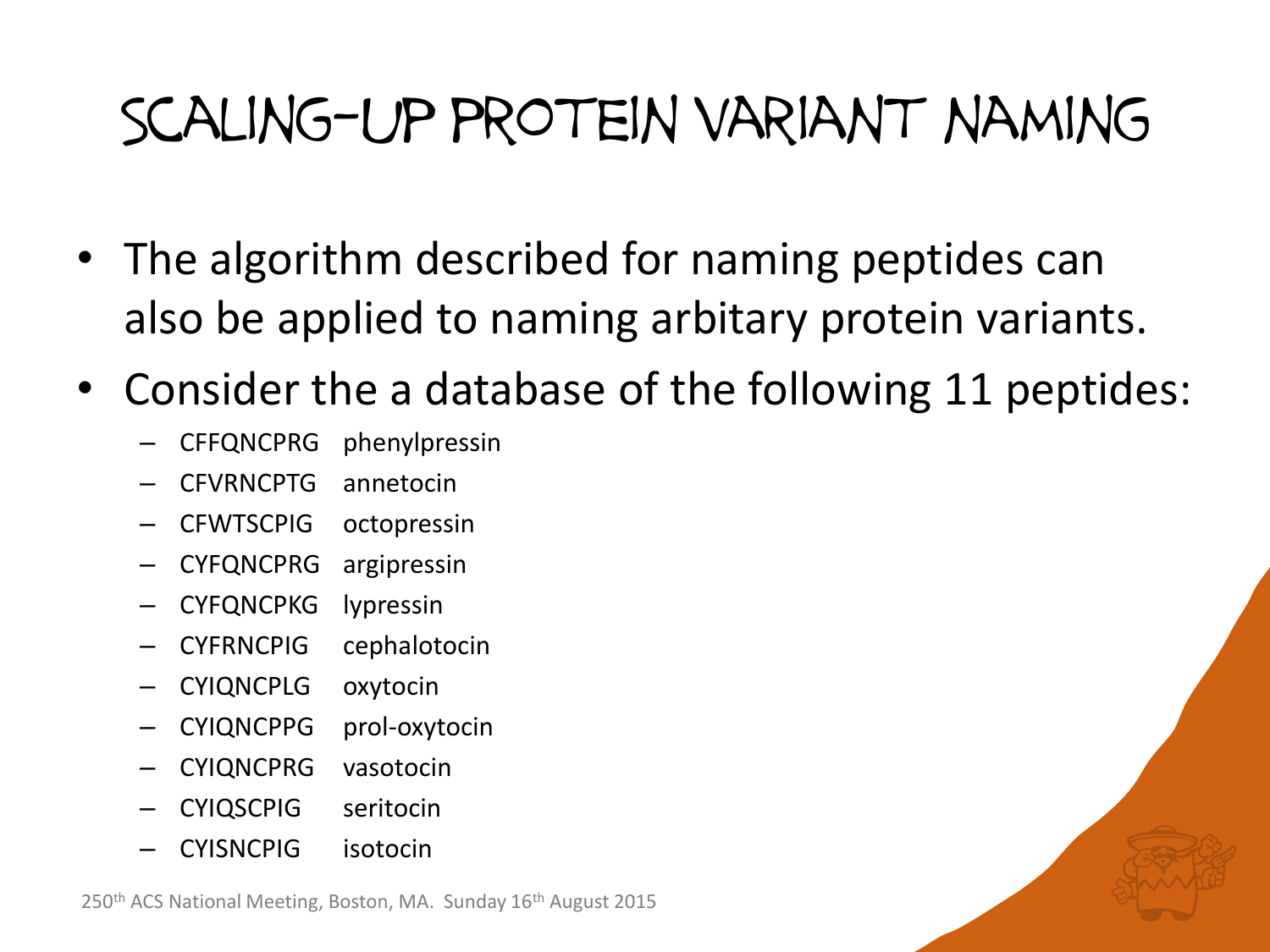#### Scaling-up protein variant naming

- The algorithm described for naming peptides can also be applied to naming arbitary protein variants.
- Consider the a database of the following 11 peptides:
	- CFFQNCPRG phenylpressin
	- CFVRNCPTG annetocin
	- CFWTSCPIG octopressin
	- CYFQNCPRG argipressin
	- CYFQNCPKG lypressin
	- CYFRNCPIG cephalotocin
	- CYIQNCPLG oxytocin
	- CYIQNCPPG prol-oxytocin
	- CYIQNCPRG vasotocin
	- CYIQSCPIG seritocin
	- CYISNCPIG isotocin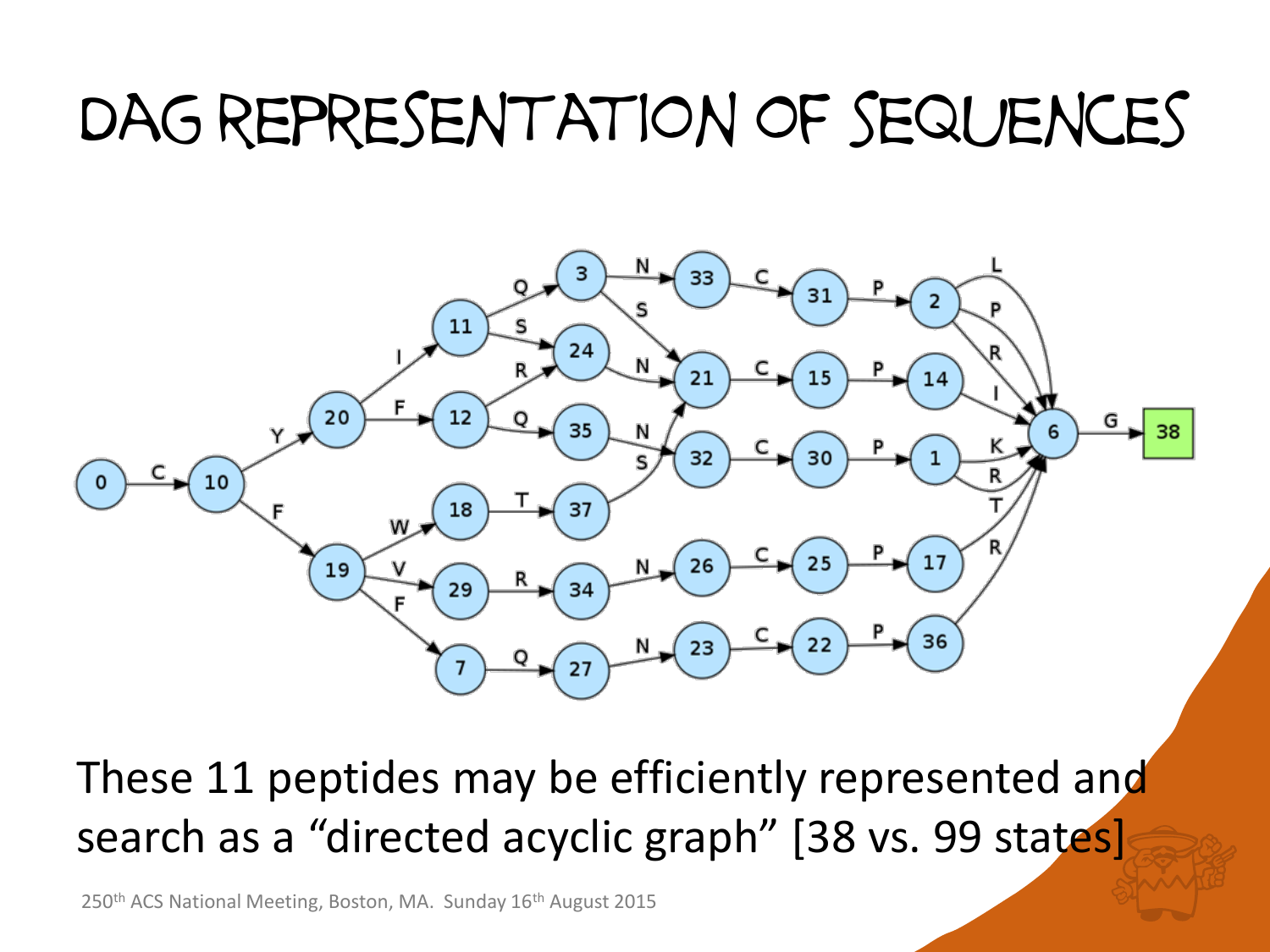#### Dag representation of sequences



These 11 peptides may be efficiently represented and search as a "directed acyclic graph" [38 vs. 99 states]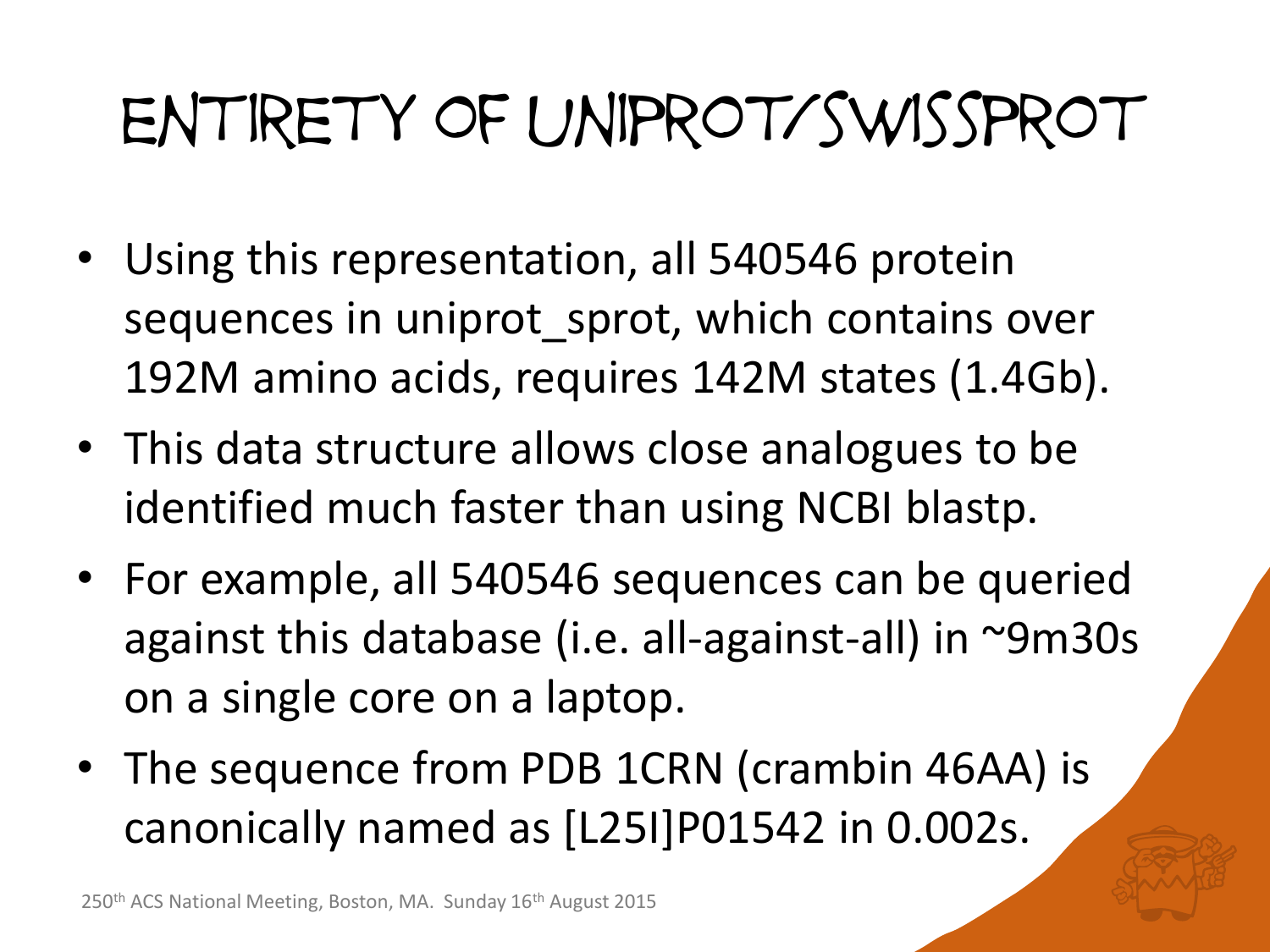# entirety of uniprot/swissprot

- Using this representation, all 540546 protein sequences in uniprot\_sprot, which contains over 192M amino acids, requires 142M states (1.4Gb).
- This data structure allows close analogues to be identified much faster than using NCBI blastp.
- For example, all 540546 sequences can be queried against this database (i.e. all-against-all) in ~9m30s on a single core on a laptop.
- The sequence from PDB 1CRN (crambin 46AA) is canonically named as [L25I]P01542 in 0.002s.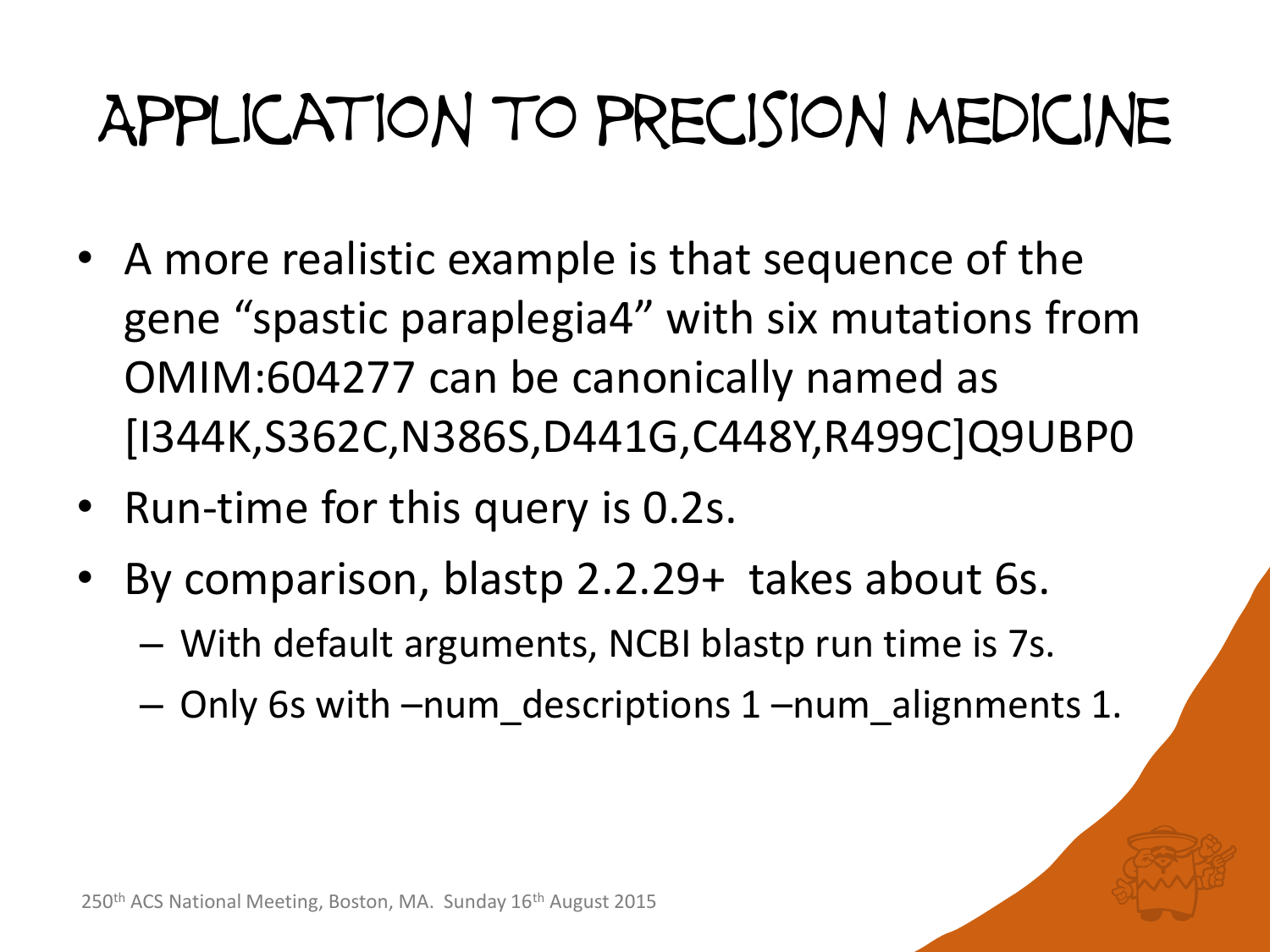#### Application to precision medicine

- A more realistic example is that sequence of the gene "spastic paraplegia4" with six mutations from OMIM:604277 can be canonically named as [I344K,S362C,N386S,D441G,C448Y,R499C]Q9UBP0
- Run-time for this query is 0.2s.
- By comparison, blastp 2.2.29+ takes about 6s.
	- With default arguments, NCBI blastp run time is 7s.
	- Only 6s with –num\_descriptions 1 –num\_alignments 1.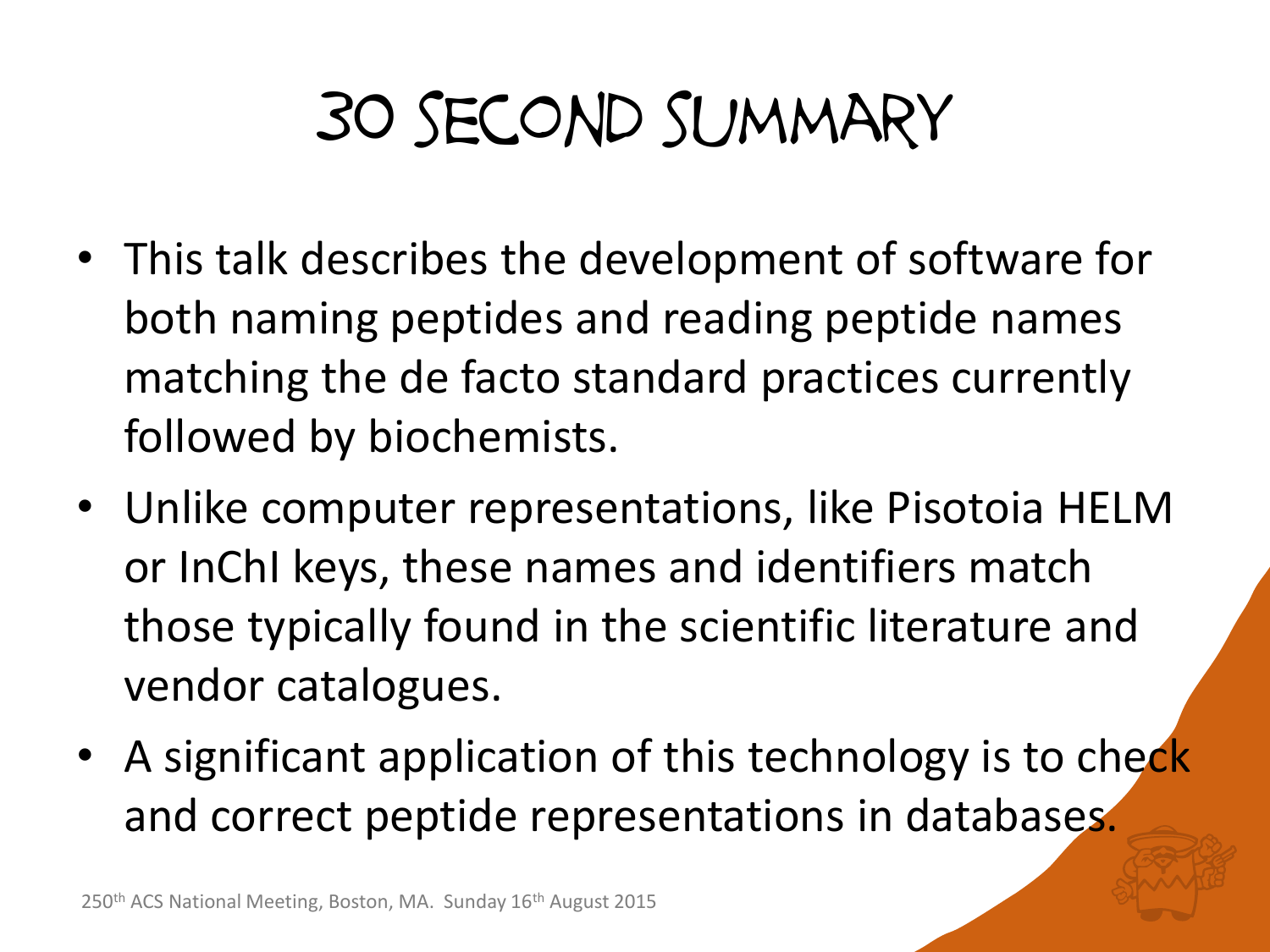# 30 second summary

- This talk describes the development of software for both naming peptides and reading peptide names matching the de facto standard practices currently followed by biochemists.
- Unlike computer representations, like Pisotoia HELM or InChI keys, these names and identifiers match those typically found in the scientific literature and vendor catalogues.
- A significant application of this technology is to check and correct peptide representations in databases.